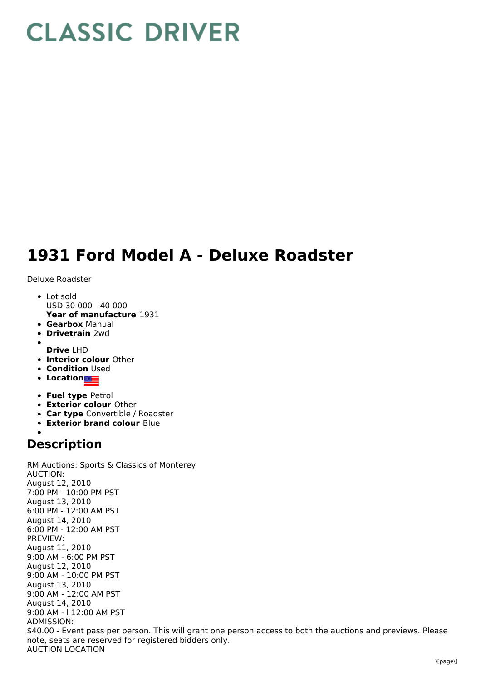## **CLASSIC DRIVER**

## **1931 Ford Model A - Deluxe Roadster**

Deluxe Roadster

- **Year of manufacture** 1931 Lot sold USD 30 000 - 40 000
- **Gearbox** Manual
- **Drivetrain** 2wd
- **Drive** LHD
- **Interior colour** Other
- **Condition Used**
- **Location**
- **Fuel type** Petrol
- **Exterior colour** Other
- **Car type** Convertible / Roadster
- **Exterior brand colour** Blue

## **Description**

RM Auctions: Sports & Classics of Monterey AUCTION: August 12, 2010 7:00 PM - 10:00 PM PST August 13, 2010 6:00 PM - 12:00 AM PST August 14, 2010 6:00 PM - 12:00 AM PST PREVIEW: August 11, 2010 9:00 AM - 6:00 PM PST August 12, 2010 9:00 AM - 10:00 PM PST August 13, 2010 9:00 AM - 12:00 AM PST August 14, 2010 9:00 AM - l 12:00 AM PST ADMISSION: \$40.00 - Event pass per person. This will grant one person access to both the auctions and previews. Please note, seats are reserved for registered bidders only. AUCTION LOCATION